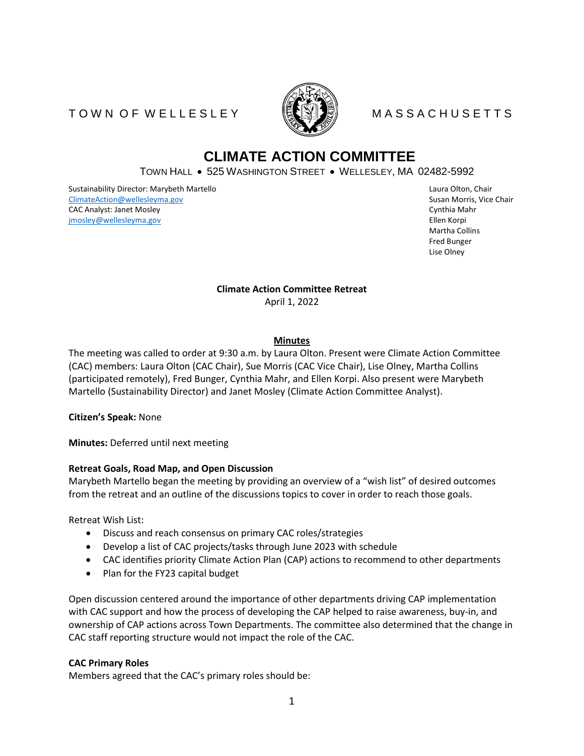# TO W N O F W E LLESLEY MANIFUL MASSACHUS ETTS



# **CLIMATE ACTION COMMITTEE**

TOWN HALL . 525 WASHINGTON STREET . WELLESLEY, MA 02482-5992

Sustainability Director: Marybeth Martello **Laura Olton, Chair** Chair Chair Chair Chair Chair Chair Chair Chair Chair [ClimateAction@wellesleyma.gov](mailto:ClimateAction@wellesleyma.gov) **Susan Morris, Vice Chair** Susan Morris, Vice Chair CAC Analyst: Janet Mosley Cynthia Mahr [jmosley@wellesleyma.gov](mailto:jmosley@wellesleyma.gov) Ellen Korpi

Martha Collins Fred Bunger Lise Olney

#### **Climate Action Committee Retreat** April 1, 2022

# **Minutes**

The meeting was called to order at 9:30 a.m. by Laura Olton. Present were Climate Action Committee (CAC) members: Laura Olton (CAC Chair), Sue Morris (CAC Vice Chair), Lise Olney, Martha Collins (participated remotely), Fred Bunger, Cynthia Mahr, and Ellen Korpi. Also present were Marybeth Martello (Sustainability Director) and Janet Mosley (Climate Action Committee Analyst).

## **Citizen's Speak:** None

**Minutes:** Deferred until next meeting

## **Retreat Goals, Road Map, and Open Discussion**

Marybeth Martello began the meeting by providing an overview of a "wish list" of desired outcomes from the retreat and an outline of the discussions topics to cover in order to reach those goals.

Retreat Wish List:

- Discuss and reach consensus on primary CAC roles/strategies
- Develop a list of CAC projects/tasks through June 2023 with schedule
- CAC identifies priority Climate Action Plan (CAP) actions to recommend to other departments
- Plan for the FY23 capital budget

Open discussion centered around the importance of other departments driving CAP implementation with CAC support and how the process of developing the CAP helped to raise awareness, buy-in, and ownership of CAP actions across Town Departments. The committee also determined that the change in CAC staff reporting structure would not impact the role of the CAC.

#### **CAC Primary Roles**

Members agreed that the CAC's primary roles should be: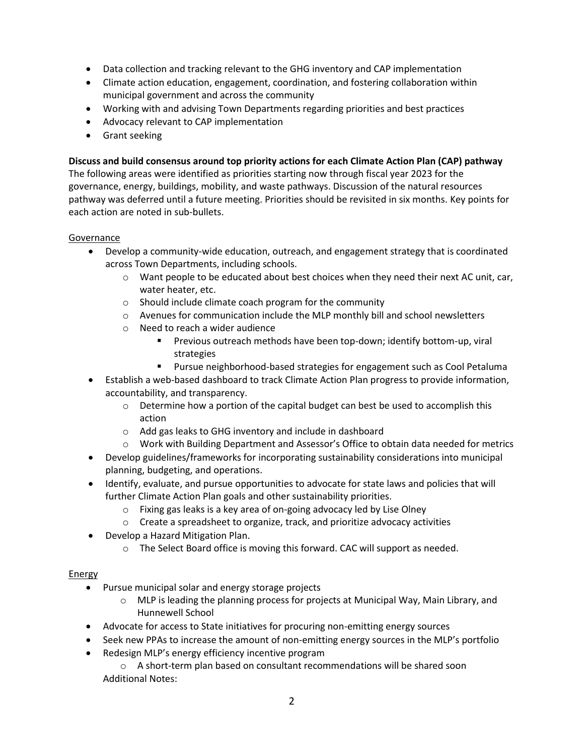- Data collection and tracking relevant to the GHG inventory and CAP implementation
- Climate action education, engagement, coordination, and fostering collaboration within municipal government and across the community
- Working with and advising Town Departments regarding priorities and best practices
- Advocacy relevant to CAP implementation
- Grant seeking

#### **Discuss and build consensus around top priority actions for each Climate Action Plan (CAP) pathway**

The following areas were identified as priorities starting now through fiscal year 2023 for the governance, energy, buildings, mobility, and waste pathways. Discussion of the natural resources pathway was deferred until a future meeting. Priorities should be revisited in six months. Key points for each action are noted in sub-bullets.

#### Governance

- Develop a community-wide education, outreach, and engagement strategy that is coordinated across Town Departments, including schools.
	- o Want people to be educated about best choices when they need their next AC unit, car, water heater, etc.
	- o Should include climate coach program for the community
	- o Avenues for communication include the MLP monthly bill and school newsletters
	- o Need to reach a wider audience
		- Previous outreach methods have been top-down; identify bottom-up, viral strategies
		- **Pursue neighborhood-based strategies for engagement such as Cool Petaluma**
- Establish a web-based dashboard to track Climate Action Plan progress to provide information, accountability, and transparency.
	- $\circ$  Determine how a portion of the capital budget can best be used to accomplish this action
	- o Add gas leaks to GHG inventory and include in dashboard
	- o Work with Building Department and Assessor's Office to obtain data needed for metrics
- Develop guidelines/frameworks for incorporating sustainability considerations into municipal planning, budgeting, and operations.
- Identify, evaluate, and pursue opportunities to advocate for state laws and policies that will further Climate Action Plan goals and other sustainability priorities.
	- o Fixing gas leaks is a key area of on-going advocacy led by Lise Olney
	- o Create a spreadsheet to organize, track, and prioritize advocacy activities
- Develop a Hazard Mitigation Plan.
	- o The Select Board office is moving this forward. CAC will support as needed.

#### Energy

- Pursue municipal solar and energy storage projects
	- o MLP is leading the planning process for projects at Municipal Way, Main Library, and Hunnewell School
- Advocate for access to State initiatives for procuring non-emitting energy sources
- Seek new PPAs to increase the amount of non-emitting energy sources in the MLP's portfolio
- Redesign MLP's energy efficiency incentive program

o A short-term plan based on consultant recommendations will be shared soon Additional Notes: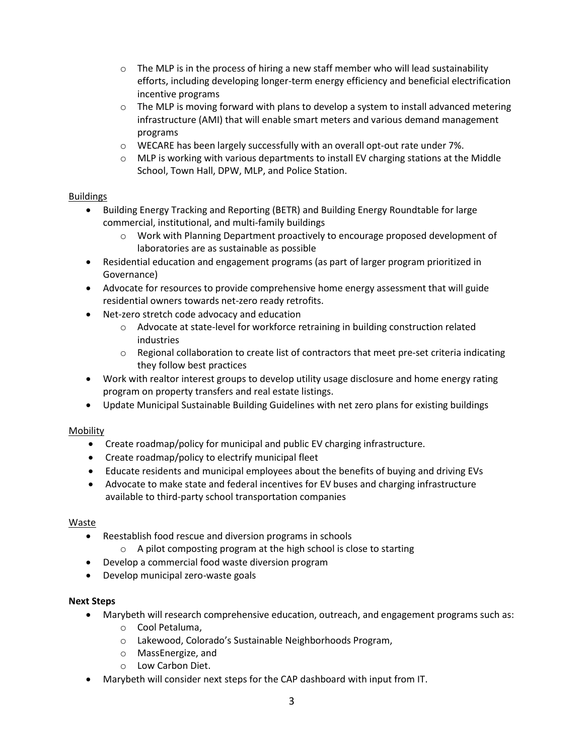- $\circ$  The MLP is in the process of hiring a new staff member who will lead sustainability efforts, including developing longer-term energy efficiency and beneficial electrification incentive programs
- $\circ$  The MLP is moving forward with plans to develop a system to install advanced metering infrastructure (AMI) that will enable smart meters and various demand management programs
- o WECARE has been largely successfully with an overall opt-out rate under 7%.
- $\circ$  MLP is working with various departments to install EV charging stations at the Middle School, Town Hall, DPW, MLP, and Police Station.

### Buildings

- Building Energy Tracking and Reporting (BETR) and Building Energy Roundtable for large commercial, institutional, and multi-family buildings
	- o Work with Planning Department proactively to encourage proposed development of laboratories are as sustainable as possible
- Residential education and engagement programs (as part of larger program prioritized in Governance)
- Advocate for resources to provide comprehensive home energy assessment that will guide residential owners towards net-zero ready retrofits.
- Net-zero stretch code advocacy and education
	- $\circ$  Advocate at state-level for workforce retraining in building construction related industries
	- $\circ$  Regional collaboration to create list of contractors that meet pre-set criteria indicating they follow best practices
- Work with realtor interest groups to develop utility usage disclosure and home energy rating program on property transfers and real estate listings.
- Update Municipal Sustainable Building Guidelines with net zero plans for existing buildings

#### Mobility

- Create roadmap/policy for municipal and public EV charging infrastructure.
- Create roadmap/policy to electrify municipal fleet
- Educate residents and municipal employees about the benefits of buying and driving EVs
- Advocate to make state and federal incentives for EV buses and charging infrastructure available to third-party school transportation companies

#### Waste

- Reestablish food rescue and diversion programs in schools
	- o A pilot composting program at the high school is close to starting
- Develop a commercial food waste diversion program
- Develop municipal zero-waste goals

#### **Next Steps**

- Marybeth will research comprehensive education, outreach, and engagement programs such as:
	- o Cool Petaluma,
	- o Lakewood, Colorado's Sustainable Neighborhoods Program,
	- o MassEnergize, and
	- o Low Carbon Diet.
- Marybeth will consider next steps for the CAP dashboard with input from IT.